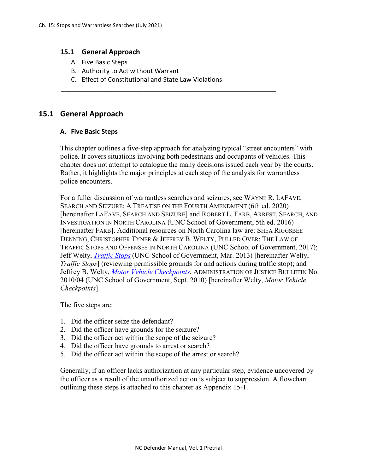#### **15.1 General Approach**

- A. Five Basic Steps
- B. Authority to Act without Warrant
- C. Effect of Constitutional and State Law Violations

# **15.1 General Approach**

#### **A. Five Basic Steps**

This chapter outlines a five-step approach for analyzing typical "street encounters" with police. It covers situations involving both pedestrians and occupants of vehicles. This chapter does not attempt to catalogue the many decisions issued each year by the courts. Rather, it highlights the major principles at each step of the analysis for warrantless police encounters.

For a fuller discussion of warrantless searches and seizures, see WAYNE R. LAFAVE, SEARCH AND SEIZURE: A TREATISE ON THE FOURTH AMENDMENT (6th ed. 2020) [hereinafter LAFAVE, SEARCH AND SEIZURE] and ROBERT L. FARB, ARREST, SEARCH, AND INVESTIGATION IN NORTH CAROLINA (UNC School of Government, 5th ed. 2016) [hereinafter FARB]. Additional resources on North Carolina law are: SHEA RIGGSBEE DENNING, CHRISTOPHER TYNER & JEFFREY B. WELTY, PULLED OVER: THE LAW OF TRAFFIC STOPS AND OFFENSES IN NORTH CAROLINA (UNC School of Government, 2017); Jeff Welty, *[Traffic Stops](http://nccriminallaw.sog.unc.edu/wp-content/uploads/2013/03/2013-03-Traffic-Stops.pdf)* (UNC School of Government, Mar. 2013) [hereinafter Welty, *Traffic Stops*] (reviewing permissible grounds for and actions during traffic stop); and Jeffrey B. Welty, *[Motor Vehicle Checkpoints](https://www.sog.unc.edu/publications/bulletins/motor-vehicle-checkpoints)*, ADMINISTRATION OF JUSTICE BULLETIN No. 2010/04 (UNC School of Government, Sept. 2010) [hereinafter Welty, *Motor Vehicle Checkpoints*].

The five steps are:

- 1. Did the officer seize the defendant?
- 2. Did the officer have grounds for the seizure?
- 3. Did the officer act within the scope of the seizure?
- 4. Did the officer have grounds to arrest or search?
- 5. Did the officer act within the scope of the arrest or search?

Generally, if an officer lacks authorization at any particular step, evidence uncovered by the officer as a result of the unauthorized action is subject to suppression. A flowchart outlining these steps is attached to this chapter as Appendix 15-1.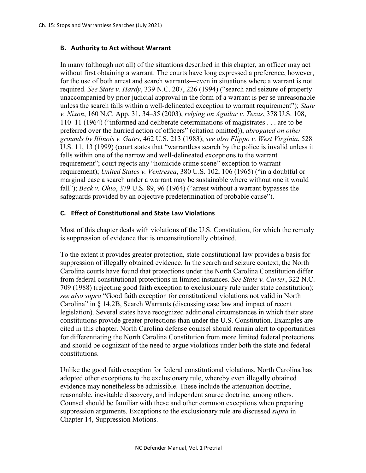## **B. Authority to Act without Warrant**

In many (although not all) of the situations described in this chapter, an officer may act without first obtaining a warrant. The courts have long expressed a preference, however, for the use of both arrest and search warrants—even in situations where a warrant is not required. *See State v. Hardy*, 339 N.C. 207, 226 (1994) ("search and seizure of property unaccompanied by prior judicial approval in the form of a warrant is per se unreasonable unless the search falls within a well-delineated exception to warrant requirement"); *State v. Nixon*, 160 N.C. App. 31, 34–35 (2003), *relying on Aguilar v. Texas*, 378 U.S. 108, 110–11 (1964) ("informed and deliberate determinations of magistrates . . . are to be preferred over the hurried action of officers" (citation omitted)), *abrogated on other grounds by Illinois v. Gates*, 462 U.S. 213 (1983); *see also Flippo v. West Virginia*, 528 U.S. 11, 13 (1999) (court states that "warrantless search by the police is invalid unless it falls within one of the narrow and well-delineated exceptions to the warrant requirement"; court rejects any "homicide crime scene" exception to warrant requirement); *United States v. Ventresca*, 380 U.S. 102, 106 (1965) ("in a doubtful or marginal case a search under a warrant may be sustainable where without one it would fall"); *Beck v. Ohio*, 379 U.S. 89, 96 (1964) ("arrest without a warrant bypasses the safeguards provided by an objective predetermination of probable cause").

## **C. Effect of Constitutional and State Law Violations**

Most of this chapter deals with violations of the U.S. Constitution, for which the remedy is suppression of evidence that is unconstitutionally obtained.

To the extent it provides greater protection, state constitutional law provides a basis for suppression of illegally obtained evidence. In the search and seizure context, the North Carolina courts have found that protections under the North Carolina Constitution differ from federal constitutional protections in limited instances. *See State v. Carter*, 322 N.C. 709 (1988) (rejecting good faith exception to exclusionary rule under state constitution); *see also supra* "Good faith exception for constitutional violations not valid in North Carolina" in § 14.2B, Search Warrants (discussing case law and impact of recent legislation). Several states have recognized additional circumstances in which their state constitutions provide greater protections than under the U.S. Constitution. Examples are cited in this chapter. North Carolina defense counsel should remain alert to opportunities for differentiating the North Carolina Constitution from more limited federal protections and should be cognizant of the need to argue violations under both the state and federal constitutions.

Unlike the good faith exception for federal constitutional violations, North Carolina has adopted other exceptions to the exclusionary rule, whereby even illegally obtained evidence may nonetheless be admissible. These include the attenuation doctrine, reasonable, inevitable discovery, and independent source doctrine, among others. Counsel should be familiar with these and other common exceptions when preparing suppression arguments. Exceptions to the exclusionary rule are discussed *supra* in Chapter 14, Suppression Motions.